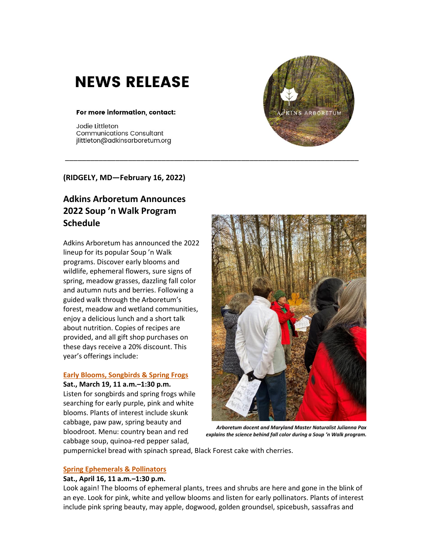# **NEWS RELEASE**

# For more information, contact:

Jodie Littleton **Communications Consultant** jlittleton@adkinsarboretum.org



# **(RIDGELY, MD—February 16, 2022)**

# **Adkins Arboretum Announces 2022 Soup 'n Walk Program Schedule**

Adkins Arboretum has announced the 2022 lineup for its popular Soup 'n Walk programs. Discover early blooms and wildlife, ephemeral flowers, sure signs of spring, meadow grasses, dazzling fall color and autumn nuts and berries. Following a guided walk through the Arboretum's forest, meadow and wetland communities, enjoy a delicious lunch and a short talk about nutrition. Copies of recipes are provided, and all gift shop purchases on these days receive a 20% discount. This year's offerings include:

# **[Early Blooms, Songbirds &](https://adkins.donorshops.com/product/SWMARCH2022/early-blooms-songbirds-spring-frogs-soup-n-walk-march-19) Spring Frogs**

**Sat., March 19, 11 a.m.–1:30 p.m.**

Listen for songbirds and spring frogs while searching for early purple, pink and white blooms. Plants of interest include skunk cabbage, paw paw, spring beauty and bloodroot. Menu: country bean and red cabbage soup, quinoa-red pepper salad,



*Arboretum docent and Maryland Master Naturalist Julianna Pax explains the science behind fall color during a Soup 'n Walk program.*

pumpernickel bread with spinach spread, Black Forest cake with cherries.

# **[Spring Ephemerals & Pollinators](https://adkins.donorshops.com/product/SWAPRIL2022/spring-ephemerals-pollinators-soup-n-walk-april-16)**

# **Sat., April 16, 11 a.m.–1:30 p.m.**

Look again! The blooms of ephemeral plants, trees and shrubs are here and gone in the blink of an eye. Look for pink, white and yellow blooms and listen for early pollinators. Plants of interest include pink spring beauty, may apple, dogwood, golden groundsel, spicebush, sassafras and

\_\_\_\_\_\_\_\_\_\_\_\_\_\_\_\_\_\_\_\_\_\_\_\_\_\_\_\_\_\_\_\_\_\_\_\_\_\_\_\_\_\_\_\_\_\_\_\_\_\_\_\_\_\_\_\_\_\_\_\_\_\_\_\_\_\_\_\_\_\_